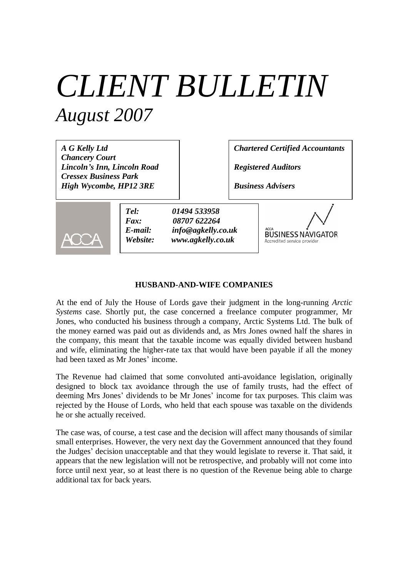# *CLIENT BULLETIN August 2007*

*A G Kelly Ltd Chancery Court Lincoln's Inn, Lincoln Road Cressex Business Park High Wycombe, HP12 3RE*

*Chartered Certified Accountants*

*Registered Auditors*

*Business Advisers*



*Tel: 01494 533958 Fax: 08707 622264 E-mail: info@agkelly.co.uk Website: www.agkelly.co.uk*



#### **HUSBAND-AND-WIFE COMPANIES**

At the end of July the House of Lords gave their judgment in the long-running *Arctic Systems* case. Shortly put, the case concerned a freelance computer programmer, Mr Jones, who conducted his business through a company, Arctic Systems Ltd. The bulk of the money earned was paid out as dividends and, as Mrs Jones owned half the shares in the company, this meant that the taxable income was equally divided between husband and wife, eliminating the higher-rate tax that would have been payable if all the money had been taxed as Mr Jones' income.

The Revenue had claimed that some convoluted anti-avoidance legislation, originally designed to block tax avoidance through the use of family trusts, had the effect of deeming Mrs Jones' dividends to be Mr Jones' income for tax purposes. This claim was rejected by the House of Lords, who held that each spouse was taxable on the dividends he or she actually received.

The case was, of course, a test case and the decision will affect many thousands of similar small enterprises. However, the very next day the Government announced that they found the Judges' decision unacceptable and that they would legislate to reverse it. That said, it appears that the new legislation will not be retrospective, and probably will not come into force until next year, so at least there is no question of the Revenue being able to charge additional tax for back years.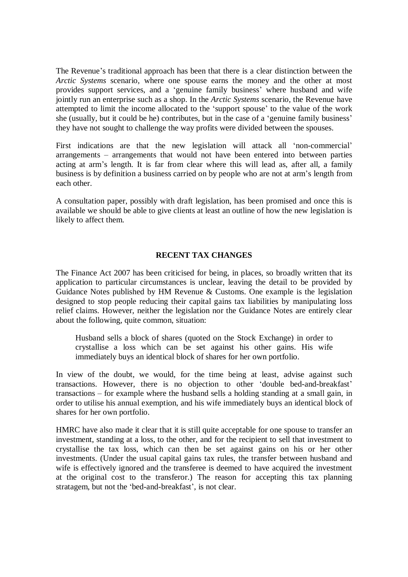The Revenue's traditional approach has been that there is a clear distinction between the *Arctic Systems* scenario, where one spouse earns the money and the other at most provides support services, and a 'genuine family business' where husband and wife jointly run an enterprise such as a shop. In the *Arctic Systems* scenario, the Revenue have attempted to limit the income allocated to the 'support spouse' to the value of the work she (usually, but it could be he) contributes, but in the case of a 'genuine family business' they have not sought to challenge the way profits were divided between the spouses.

First indications are that the new legislation will attack all 'non-commercial' arrangements – arrangements that would not have been entered into between parties acting at arm's length. It is far from clear where this will lead as, after all, a family business is by definition a business carried on by people who are not at arm's length from each other.

A consultation paper, possibly with draft legislation, has been promised and once this is available we should be able to give clients at least an outline of how the new legislation is likely to affect them.

### **RECENT TAX CHANGES**

The Finance Act 2007 has been criticised for being, in places, so broadly written that its application to particular circumstances is unclear, leaving the detail to be provided by Guidance Notes published by HM Revenue & Customs. One example is the legislation designed to stop people reducing their capital gains tax liabilities by manipulating loss relief claims. However, neither the legislation nor the Guidance Notes are entirely clear about the following, quite common, situation:

Husband sells a block of shares (quoted on the Stock Exchange) in order to crystallise a loss which can be set against his other gains. His wife immediately buys an identical block of shares for her own portfolio.

In view of the doubt, we would, for the time being at least, advise against such transactions. However, there is no objection to other 'double bed-and-breakfast' transactions – for example where the husband sells a holding standing at a small gain, in order to utilise his annual exemption, and his wife immediately buys an identical block of shares for her own portfolio.

HMRC have also made it clear that it is still quite acceptable for one spouse to transfer an investment, standing at a loss, to the other, and for the recipient to sell that investment to crystallise the tax loss, which can then be set against gains on his or her other investments. (Under the usual capital gains tax rules, the transfer between husband and wife is effectively ignored and the transferee is deemed to have acquired the investment at the original cost to the transferor.) The reason for accepting this tax planning stratagem, but not the 'bed-and-breakfast', is not clear.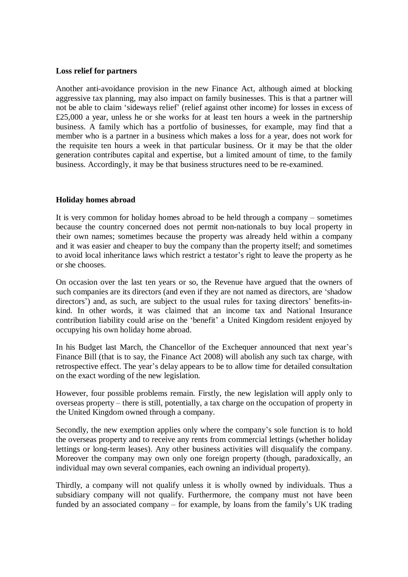#### **Loss relief for partners**

Another anti-avoidance provision in the new Finance Act, although aimed at blocking aggressive tax planning, may also impact on family businesses. This is that a partner will not be able to claim 'sideways relief' (relief against other income) for losses in excess of £25,000 a year, unless he or she works for at least ten hours a week in the partnership business. A family which has a portfolio of businesses, for example, may find that a member who is a partner in a business which makes a loss for a year, does not work for the requisite ten hours a week in that particular business. Or it may be that the older generation contributes capital and expertise, but a limited amount of time, to the family business. Accordingly, it may be that business structures need to be re-examined.

### **Holiday homes abroad**

It is very common for holiday homes abroad to be held through a company – sometimes because the country concerned does not permit non-nationals to buy local property in their own names; sometimes because the property was already held within a company and it was easier and cheaper to buy the company than the property itself; and sometimes to avoid local inheritance laws which restrict a testator's right to leave the property as he or she chooses.

On occasion over the last ten years or so, the Revenue have argued that the owners of such companies are its directors (and even if they are not named as directors, are 'shadow directors<sup>'</sup>) and, as such, are subject to the usual rules for taxing directors' benefits-inkind. In other words, it was claimed that an income tax and National Insurance contribution liability could arise on the 'benefit' a United Kingdom resident enjoyed by occupying his own holiday home abroad.

In his Budget last March, the Chancellor of the Exchequer announced that next year's Finance Bill (that is to say, the Finance Act 2008) will abolish any such tax charge, with retrospective effect. The year's delay appears to be to allow time for detailed consultation on the exact wording of the new legislation.

However, four possible problems remain. Firstly, the new legislation will apply only to overseas property – there is still, potentially, a tax charge on the occupation of property in the United Kingdom owned through a company.

Secondly, the new exemption applies only where the company's sole function is to hold the overseas property and to receive any rents from commercial lettings (whether holiday lettings or long-term leases). Any other business activities will disqualify the company. Moreover the company may own only one foreign property (though, paradoxically, an individual may own several companies, each owning an individual property).

Thirdly, a company will not qualify unless it is wholly owned by individuals. Thus a subsidiary company will not qualify. Furthermore, the company must not have been funded by an associated company – for example, by loans from the family's UK trading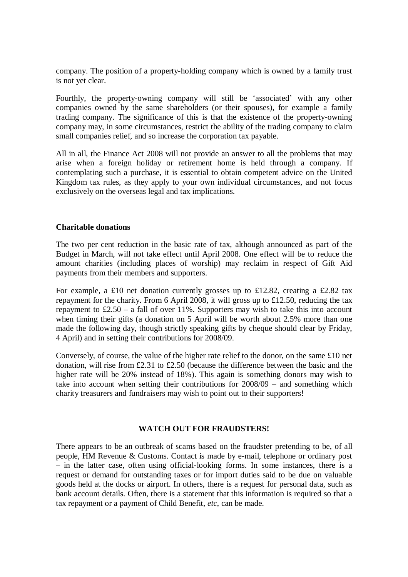company. The position of a property-holding company which is owned by a family trust is not yet clear.

Fourthly, the property-owning company will still be 'associated' with any other companies owned by the same shareholders (or their spouses), for example a family trading company. The significance of this is that the existence of the property-owning company may, in some circumstances, restrict the ability of the trading company to claim small companies relief, and so increase the corporation tax payable.

All in all, the Finance Act 2008 will not provide an answer to all the problems that may arise when a foreign holiday or retirement home is held through a company. If contemplating such a purchase, it is essential to obtain competent advice on the United Kingdom tax rules, as they apply to your own individual circumstances, and not focus exclusively on the overseas legal and tax implications.

## **Charitable donations**

The two per cent reduction in the basic rate of tax, although announced as part of the Budget in March, will not take effect until April 2008. One effect will be to reduce the amount charities (including places of worship) may reclaim in respect of Gift Aid payments from their members and supporters.

For example, a £10 net donation currently grosses up to £12.82, creating a £2.82 tax repayment for the charity. From 6 April 2008, it will gross up to £12.50, reducing the tax repayment to  $£2.50 - a$  fall of over 11%. Supporters may wish to take this into account when timing their gifts (a donation on 5 April will be worth about 2.5% more than one made the following day, though strictly speaking gifts by cheque should clear by Friday, 4 April) and in setting their contributions for 2008/09.

Conversely, of course, the value of the higher rate relief to the donor, on the same £10 net donation, will rise from £2.31 to £2.50 (because the difference between the basic and the higher rate will be 20% instead of 18%). This again is something donors may wish to take into account when setting their contributions for 2008/09 – and something which charity treasurers and fundraisers may wish to point out to their supporters!

### **WATCH OUT FOR FRAUDSTERS!**

There appears to be an outbreak of scams based on the fraudster pretending to be, of all people, HM Revenue & Customs. Contact is made by e-mail, telephone or ordinary post – in the latter case, often using official-looking forms. In some instances, there is a request or demand for outstanding taxes or for import duties said to be due on valuable goods held at the docks or airport. In others, there is a request for personal data, such as bank account details. Often, there is a statement that this information is required so that a tax repayment or a payment of Child Benefit, *etc*, can be made.